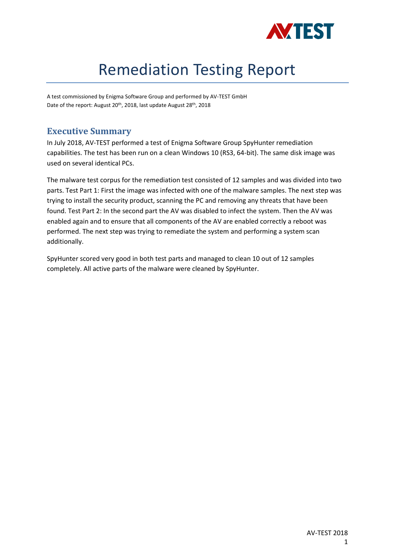

# Remediation Testing Report

A test commissioned by Enigma Software Group and performed by AV-TEST GmbH Date of the report: August 20<sup>th</sup>, 2018, last update August 28<sup>th</sup>, 2018

# **Executive Summary**

In July 2018, AV-TEST performed a test of Enigma Software Group SpyHunter remediation capabilities. The test has been run on a clean Windows 10 (RS3, 64-bit). The same disk image was used on several identical PCs.

The malware test corpus for the remediation test consisted of 12 samples and was divided into two parts. Test Part 1: First the image was infected with one of the malware samples. The next step was trying to install the security product, scanning the PC and removing any threats that have been found. Test Part 2: In the second part the AV was disabled to infect the system. Then the AV was enabled again and to ensure that all components of the AV are enabled correctly a reboot was performed. The next step was trying to remediate the system and performing a system scan additionally.

SpyHunter scored very good in both test parts and managed to clean 10 out of 12 samples completely. All active parts of the malware were cleaned by SpyHunter.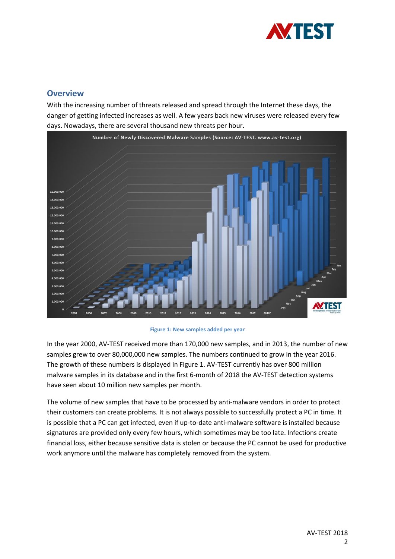

## **Overview**

With the increasing number of threats released and spread through the Internet these days, the danger of getting infected increases as well. A few years back new viruses were released every few days. Nowadays, there are several thousand new threats per hour.



**Figure 1: New samples added per year**

In the year 2000, AV-TEST received more than 170,000 new samples, and in 2013, the number of new samples grew to over 80,000,000 new samples. The numbers continued to grow in the year 2016. The growth of these numbers is displayed in Figure 1. AV-TEST currently has over 800 million malware samples in its database and in the first 6-month of 2018 the AV-TEST detection systems have seen about 10 million new samples per month.

The volume of new samples that have to be processed by anti-malware vendors in order to protect their customers can create problems. It is not always possible to successfully protect a PC in time. It is possible that a PC can get infected, even if up-to-date anti-malware software is installed because signatures are provided only every few hours, which sometimes may be too late. Infections create financial loss, either because sensitive data is stolen or because the PC cannot be used for productive work anymore until the malware has completely removed from the system.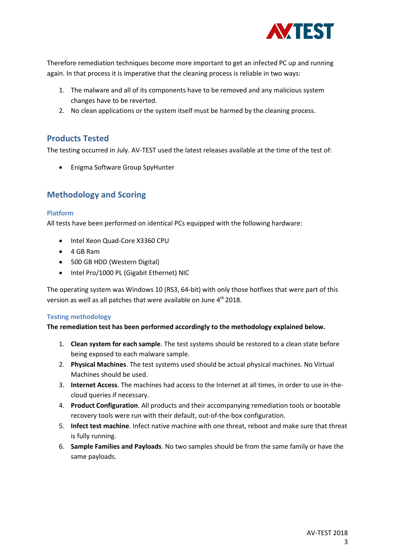

Therefore remediation techniques become more important to get an infected PC up and running again. In that process it is imperative that the cleaning process is reliable in two ways:

- 1. The malware and all of its components have to be removed and any malicious system changes have to be reverted.
- 2. No clean applications or the system itself must be harmed by the cleaning process.

## **Products Tested**

The testing occurred in July. AV-TEST used the latest releases available at the time of the test of:

• Enigma Software Group SpyHunter

## **Methodology and Scoring**

#### **Platform**

All tests have been performed on identical PCs equipped with the following hardware:

- Intel Xeon Quad-Core X3360 CPU
- 4 GB Ram
- 500 GB HDD (Western Digital)
- Intel Pro/1000 PL (Gigabit Ethernet) NIC

The operating system was Windows 10 (RS3, 64-bit) with only those hotfixes that were part of this version as well as all patches that were available on June 4<sup>th</sup> 2018.

## **Testing methodology**

#### **The remediation test has been performed accordingly to the methodology explained below.**

- 1. **Clean system for each sample**. The test systems should be restored to a clean state before being exposed to each malware sample.
- 2. **Physical Machines**. The test systems used should be actual physical machines. No Virtual Machines should be used.
- 3. **Internet Access**. The machines had access to the Internet at all times, in order to use in-thecloud queries if necessary.
- 4. **Product Configuration**. All products and their accompanying remediation tools or bootable recovery tools were run with their default, out-of-the-box configuration.
- 5. **Infect test machine**. Infect native machine with one threat, reboot and make sure that threat is fully running.
- 6. **Sample Families and Payloads**. No two samples should be from the same family or have the same payloads.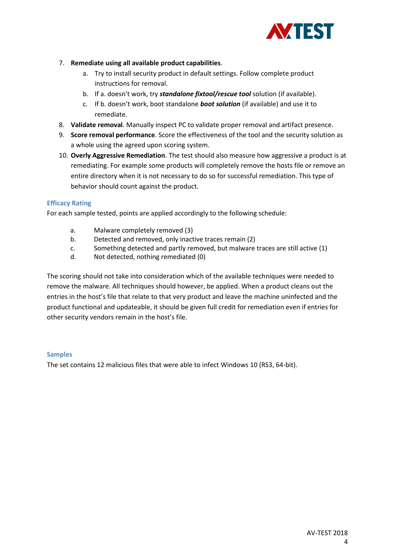

- 7. **Remediate using all available product capabilities**.
	- a. Try to install security product in default settings. Follow complete product instructions for removal.
	- b. If a. doesn't work, try *standalone fixtool/rescue tool* solution (if available).
	- c. If b. doesn't work, boot standalone *boot solution* (if available) and use it to remediate.
- 8. **Validate removal**. Manually inspect PC to validate proper removal and artifact presence.
- 9. **Score removal performance**. Score the effectiveness of the tool and the security solution as a whole using the agreed upon scoring system.
- 10. **Overly Aggressive Remediation**. The test should also measure how aggressive a product is at remediating. For example some products will completely remove the hosts file or remove an entire directory when it is not necessary to do so for successful remediation. This type of behavior should count against the product.

#### **Efficacy Rating**

For each sample tested, points are applied accordingly to the following schedule:

- a. Malware completely removed (3)
- b. Detected and removed, only inactive traces remain (2)
- c. Something detected and partly removed, but malware traces are still active (1)
- d. Not detected, nothing remediated (0)

The scoring should not take into consideration which of the available techniques were needed to remove the malware. All techniques should however, be applied. When a product cleans out the entries in the host's file that relate to that very product and leave the machine uninfected and the product functional and updateable, it should be given full credit for remediation even if entries for other security vendors remain in the host's file.

#### **Samples**

The set contains 12 malicious files that were able to infect Windows 10 (RS3, 64-bit).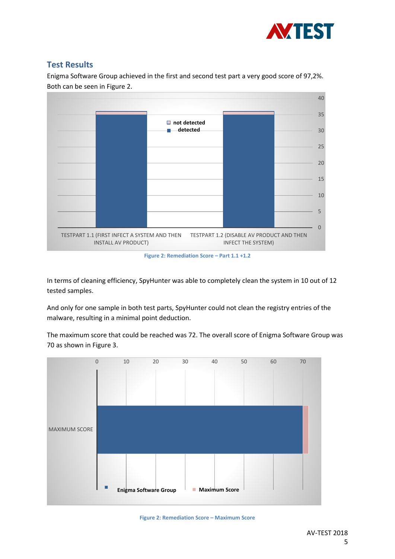

# **Test Results**

Enigma Software Group achieved in the first and second test part a very good score of 97,2%. Both can be seen in Figure 2.



**Figure 2: Remediation Score – Part 1.1 +1.2**

In terms of cleaning efficiency, SpyHunter was able to completely clean the system in 10 out of 12 tested samples.

And only for one sample in both test parts, SpyHunter could not clean the registry entries of the malware, resulting in a minimal point deduction.

The maximum score that could be reached was 72. The overall score of Enigma Software Group was 70 as shown in Figure 3.